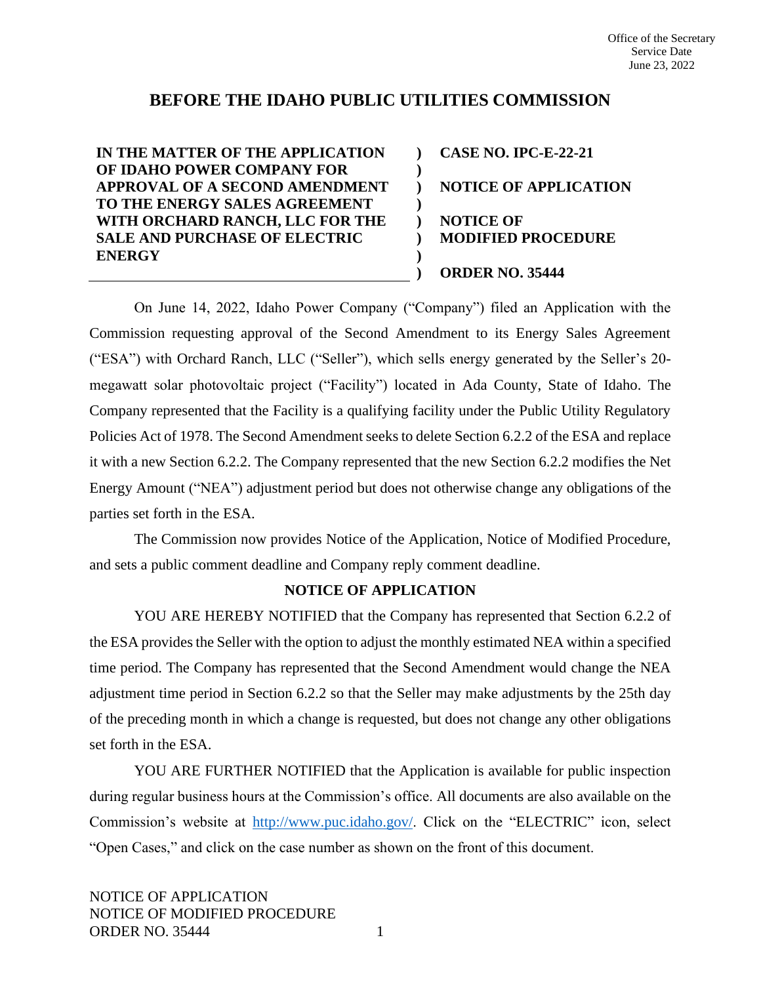# **BEFORE THE IDAHO PUBLIC UTILITIES COMMISSION**

**) ) ) )**

**) ) )**

**IN THE MATTER OF THE APPLICATION OF IDAHO POWER COMPANY FOR APPROVAL OF A SECOND AMENDMENT TO THE ENERGY SALES AGREEMENT WITH ORCHARD RANCH, LLC FOR THE SALE AND PURCHASE OF ELECTRIC ENERGY**

**) CASE NO. IPC-E-22-21 NOTICE OF APPLICATION NOTICE OF MODIFIED PROCEDURE ORDER NO. 35444**

On June 14, 2022, Idaho Power Company ("Company") filed an Application with the Commission requesting approval of the Second Amendment to its Energy Sales Agreement ("ESA") with Orchard Ranch, LLC ("Seller"), which sells energy generated by the Seller's 20 megawatt solar photovoltaic project ("Facility") located in Ada County, State of Idaho. The Company represented that the Facility is a qualifying facility under the Public Utility Regulatory Policies Act of 1978. The Second Amendment seeks to delete Section 6.2.2 of the ESA and replace it with a new Section 6.2.2. The Company represented that the new Section 6.2.2 modifies the Net Energy Amount ("NEA") adjustment period but does not otherwise change any obligations of the parties set forth in the ESA.

The Commission now provides Notice of the Application, Notice of Modified Procedure, and sets a public comment deadline and Company reply comment deadline.

## **NOTICE OF APPLICATION**

YOU ARE HEREBY NOTIFIED that the Company has represented that Section 6.2.2 of the ESA provides the Seller with the option to adjust the monthly estimated NEA within a specified time period. The Company has represented that the Second Amendment would change the NEA adjustment time period in Section 6.2.2 so that the Seller may make adjustments by the 25th day of the preceding month in which a change is requested, but does not change any other obligations set forth in the ESA.

YOU ARE FURTHER NOTIFIED that the Application is available for public inspection during regular business hours at the Commission's office. All documents are also available on the Commission's website at [http://www.puc.idaho.gov/.](http://www.puc.idaho.gov/) Click on the "ELECTRIC" icon, select "Open Cases," and click on the case number as shown on the front of this document.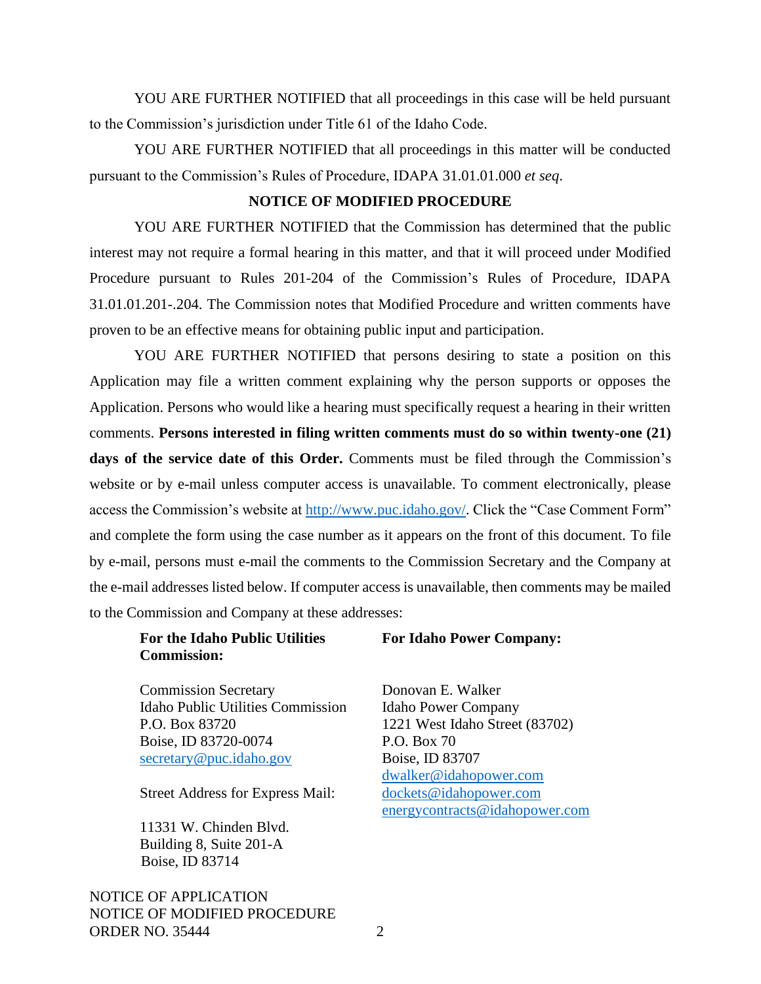YOU ARE FURTHER NOTIFIED that all proceedings in this case will be held pursuant to the Commission's jurisdiction under Title 61 of the Idaho Code.

YOU ARE FURTHER NOTIFIED that all proceedings in this matter will be conducted pursuant to the Commission's Rules of Procedure, IDAPA 31.01.01.000 *et seq*.

#### **NOTICE OF MODIFIED PROCEDURE**

YOU ARE FURTHER NOTIFIED that the Commission has determined that the public interest may not require a formal hearing in this matter, and that it will proceed under Modified Procedure pursuant to Rules 201-204 of the Commission's Rules of Procedure, IDAPA 31.01.01.201-.204. The Commission notes that Modified Procedure and written comments have proven to be an effective means for obtaining public input and participation.

YOU ARE FURTHER NOTIFIED that persons desiring to state a position on this Application may file a written comment explaining why the person supports or opposes the Application. Persons who would like a hearing must specifically request a hearing in their written comments. **Persons interested in filing written comments must do so within twenty-one (21) days of the service date of this Order.** Comments must be filed through the Commission's website or by e-mail unless computer access is unavailable. To comment electronically, please access the Commission's website at [http://www.puc.idaho.gov/.](http://www.puc.idaho.gov/) Click the "Case Comment Form" and complete the form using the case number as it appears on the front of this document. To file by e-mail, persons must e-mail the comments to the Commission Secretary and the Company at the e-mail addresses listed below. If computer access is unavailable, then comments may be mailed to the Commission and Company at these addresses:

## **For the Idaho Public Utilities Commission:**

**For Idaho Power Company:**

Commission Secretary Idaho Public Utilities Commission P.O. Box 83720 Boise, ID 83720-0074 [secretary@puc.idaho.gov](mailto:secretary@puc.idaho.gov)

Street Address for Express Mail:

11331 W. Chinden Blvd. Building 8, Suite 201-A Boise, ID 83714

NOTICE OF APPLICATION NOTICE OF MODIFIED PROCEDURE ORDER NO. 35444 2

Donovan E. Walker Idaho Power Company 1221 West Idaho Street (83702) P.O. Box 70 Boise, ID 83707 [dwalker@idahopower.com](mailto:dwalker@idahopower.com) [dockets@idahopower.com](mailto:dockets@idahopower.com) [energycontracts@idahopower.com](mailto:energycontracts@idahopower.com)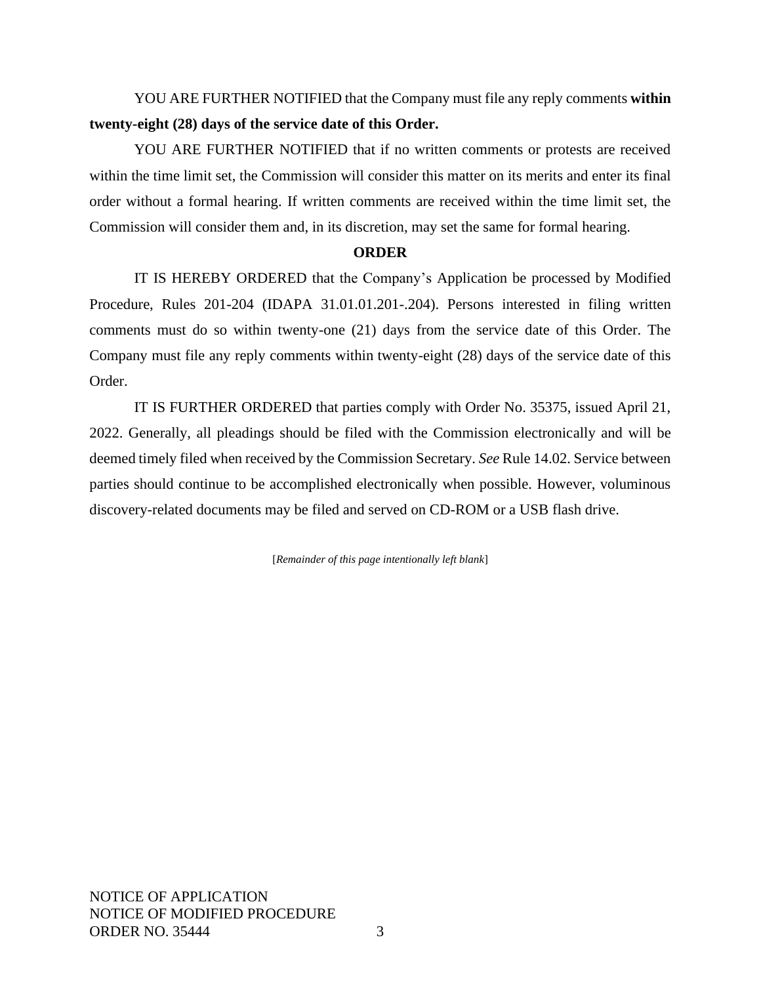YOU ARE FURTHER NOTIFIED that the Company must file any reply comments **within twenty-eight (28) days of the service date of this Order.**

YOU ARE FURTHER NOTIFIED that if no written comments or protests are received within the time limit set, the Commission will consider this matter on its merits and enter its final order without a formal hearing. If written comments are received within the time limit set, the Commission will consider them and, in its discretion, may set the same for formal hearing.

## **ORDER**

IT IS HEREBY ORDERED that the Company's Application be processed by Modified Procedure, Rules 201-204 (IDAPA 31.01.01.201-.204). Persons interested in filing written comments must do so within twenty-one (21) days from the service date of this Order. The Company must file any reply comments within twenty-eight (28) days of the service date of this Order.

IT IS FURTHER ORDERED that parties comply with Order No. 35375, issued April 21, 2022. Generally, all pleadings should be filed with the Commission electronically and will be deemed timely filed when received by the Commission Secretary. *See* Rule 14.02. Service between parties should continue to be accomplished electronically when possible. However, voluminous discovery-related documents may be filed and served on CD-ROM or a USB flash drive.

[*Remainder of this page intentionally left blank*]